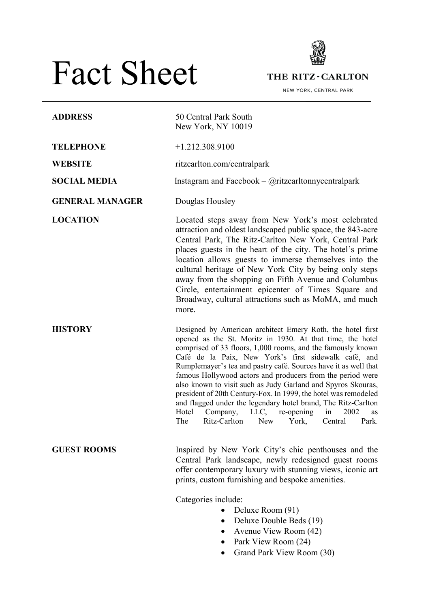# Fact Sheet



THE RITZ-CARLTON

NEW YORK, CENTRAL PARK

| <b>ADDRESS</b>         | 50 Central Park South<br>New York, NY 10019                                                                                                                                                                                                                                                                                                                                                                                                                                                                                                                                                                                                                                                                       |
|------------------------|-------------------------------------------------------------------------------------------------------------------------------------------------------------------------------------------------------------------------------------------------------------------------------------------------------------------------------------------------------------------------------------------------------------------------------------------------------------------------------------------------------------------------------------------------------------------------------------------------------------------------------------------------------------------------------------------------------------------|
| <b>TELEPHONE</b>       | $+1.212.308.9100$                                                                                                                                                                                                                                                                                                                                                                                                                                                                                                                                                                                                                                                                                                 |
| <b>WEBSITE</b>         | ritzcarlton.com/centralpark                                                                                                                                                                                                                                                                                                                                                                                                                                                                                                                                                                                                                                                                                       |
| <b>SOCIAL MEDIA</b>    | Instagram and Facebook – $@$ ritzcarltonnycentralpark                                                                                                                                                                                                                                                                                                                                                                                                                                                                                                                                                                                                                                                             |
| <b>GENERAL MANAGER</b> | Douglas Housley                                                                                                                                                                                                                                                                                                                                                                                                                                                                                                                                                                                                                                                                                                   |
| <b>LOCATION</b>        | Located steps away from New York's most celebrated<br>attraction and oldest landscaped public space, the 843-acre<br>Central Park, The Ritz-Carlton New York, Central Park<br>places guests in the heart of the city. The hotel's prime<br>location allows guests to immerse themselves into the<br>cultural heritage of New York City by being only steps<br>away from the shopping on Fifth Avenue and Columbus<br>Circle, entertainment epicenter of Times Square and<br>Broadway, cultural attractions such as MoMA, and much<br>more.                                                                                                                                                                        |
| <b>HISTORY</b>         | Designed by American architect Emery Roth, the hotel first<br>opened as the St. Moritz in 1930. At that time, the hotel<br>comprised of 33 floors, 1,000 rooms, and the famously known<br>Café de la Paix, New York's first sidewalk café, and<br>Rumplemayer's tea and pastry café. Sources have it as well that<br>famous Hollywood actors and producers from the period were<br>also known to visit such as Judy Garland and Spyros Skouras,<br>president of 20th Century-Fox. In 1999, the hotel was remodeled<br>and flagged under the legendary hotel brand, The Ritz-Carlton<br>Company, LLC,<br>re-opening<br>Hotel<br>in<br>2002<br>as<br>Ritz-Carlton<br>The<br><b>New</b><br>York,<br>Park.<br>Central |
| <b>GUEST ROOMS</b>     | Inspired by New York City's chic penthouses and the<br>Central Park landscape, newly redesigned guest rooms<br>offer contemporary luxury with stunning views, iconic art<br>prints, custom furnishing and bespoke amenities.<br>Categories include:<br>Deluxe Room (91)<br>Deluxe Double Beds (19)<br>٠<br>Avenue View Room (42)<br>Park View Room (24)                                                                                                                                                                                                                                                                                                                                                           |

• Grand Park View Room (30)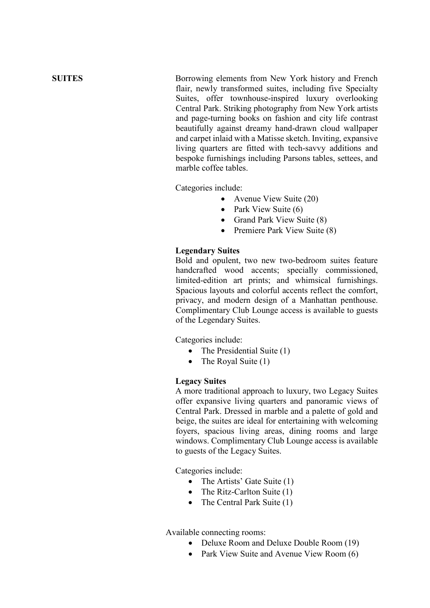**SUITES** Borrowing elements from New York history and French flair, newly transformed suites, including five Specialty Suites, offer townhouse-inspired luxury overlooking Central Park. Striking photography from New York artists and page-turning books on fashion and city life contrast beautifully against dreamy hand-drawn cloud wallpaper and carpet inlaid with a Matisse sketch. Inviting, expansive living quarters are fitted with tech-savvy additions and bespoke furnishings including Parsons tables, settees, and marble coffee tables.

Categories include:

- Avenue View Suite (20)
- Park View Suite (6)
- Grand Park View Suite (8)
- Premiere Park View Suite (8)

## **Legendary Suites**

Bold and opulent, two new two-bedroom suites feature handcrafted wood accents; specially commissioned, limited-edition art prints; and whimsical furnishings. Spacious layouts and colorful accents reflect the comfort, privacy, and modern design of a Manhattan penthouse. Complimentary Club Lounge access is available to guests of the Legendary Suites.

Categories include:

- The Presidential Suite (1)
- The Royal Suite (1)

## **Legacy Suites**

A more traditional approach to luxury, two Legacy Suites offer expansive living quarters and panoramic views of Central Park. Dressed in marble and a palette of gold and beige, the suites are ideal for entertaining with welcoming foyers, spacious living areas, dining rooms and large windows. Complimentary Club Lounge access is available to guests of the Legacy Suites.

Categories include:

- The Artists' Gate Suite (1)
- The Ritz-Carlton Suite (1)
- The Central Park Suite (1)

Available connecting rooms:

- Deluxe Room and Deluxe Double Room (19)
- Park View Suite and Avenue View Room (6)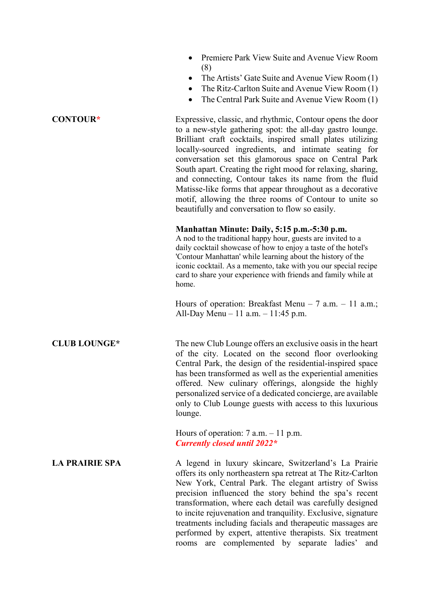- Premiere Park View Suite and Avenue View Room (8)
- The Artists' Gate Suite and Avenue View Room (1)
- The Ritz-Carlton Suite and Avenue View Room (1)
- The Central Park Suite and Avenue View Room (1)

<span id="page-2-1"></span>**CONTOU[R\\*](#page-2-0)** Expressive, classic, and rhythmic, Contour opens the door to a new-style gathering spot: the all-day gastro lounge. Brilliant craft cocktails, inspired small plates utilizing locally-sourced ingredients, and intimate seating for conversation set this glamorous space on Central Park South apart. Creating the right mood for relaxing, sharing, and connecting, Contour takes its name from the fluid Matisse-like forms that appear throughout as a decorative motif, allowing the three rooms of Contour to unite so beautifully and conversation to flow so easily.

## **Manhattan Minute: Daily, 5:15 p.m.-5:30 p.m.**

A nod to the traditional happy hour, guests are invited to a daily cocktail showcase of how to enjoy a taste of the hotel's 'Contour Manhattan' while learning about the history of the iconic cocktail. As a memento, take with you our special recipe card to share your experience with friends and family while at home.

Hours of operation: Breakfast Menu – 7 a.m. – 11 a.m.; All-Day Menu – 11 a.m. – 11:45 p.m.

**CLUB LOUNG[E\\*](#page-2-0)** The new Club Lounge offers an exclusive oasis in the heart of the city. Located on the second floor overlooking Central Park, the design of the residential-inspired space has been transformed as well as the experiential amenities offered. New culinary offerings, alongside the highly personalized service of a dedicated concierge, are available only to Club Lounge guests with access to this luxurious lounge.

> <span id="page-2-0"></span>Hours of operation:  $7$  a.m.  $-11$  p.m. *Currently closed until 2022[\\*](#page-2-1)*

**LA PRAIRIE SPA** A legend in luxury skincare, Switzerland's La Prairie offers its only northeastern spa retreat at The Ritz-Carlton New York, Central Park. The elegant artistry of Swiss precision influenced the story behind the spa's recent transformation, where each detail was carefully designed to incite rejuvenation and tranquility. Exclusive, signature treatments including facials and therapeutic massages are performed by expert, attentive therapists. Six treatment rooms are complemented by separate ladies' and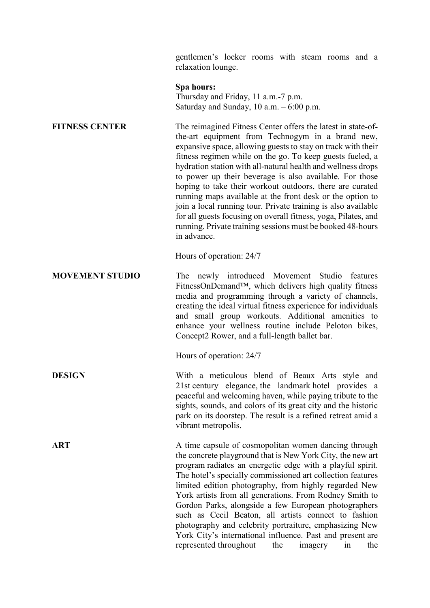gentlemen's locker rooms with steam rooms and a relaxation lounge.

### **Spa hours:**

Thursday and Friday, 11 a.m.-7 p.m. Saturday and Sunday, 10 a.m. – 6:00 p.m.

**FITNESS CENTER** The reimagined Fitness Center offers the latest in state-ofthe-art equipment from Technogym in a brand new, expansive space, allowing guests to stay on track with their fitness regimen while on the go. To keep guests fueled, a hydration station with all-natural health and wellness drops to power up their beverage is also available. For those hoping to take their workout outdoors, there are curated running maps available at the front desk or the option to join a local running tour. Private training is also available for all guests focusing on overall fitness, yoga, Pilates, and running. Private training sessions must be booked 48-hours in advance.

Hours of operation: 24/7

**MOVEMENT STUDIO** The newly introduced Movement Studio features FitnessOnDemand™, which delivers high quality fitness media and programming through a variety of channels, creating the ideal virtual fitness experience for individuals and small group workouts. Additional amenities to enhance your wellness routine include Peloton bikes, Concept2 Rower, and a full-length ballet bar.

Hours of operation: 24/7

**DESIGN** With a meticulous blend of Beaux Arts style and 21st century elegance, the landmark hotel provides a peaceful and welcoming haven, while paying tribute to the sights, sounds, and colors of its great city and the historic park on its doorstep. The result is a refined retreat amid a vibrant metropolis.

**ART** A time capsule of cosmopolitan women dancing through the concrete playground that is New York City, the new art program radiates an energetic edge with a playful spirit. The hotel's specially commissioned art collection features limited edition photography, from highly regarded New York artists from all generations. From Rodney Smith to Gordon Parks, alongside a few European photographers such as Cecil Beaton, all artists connect to fashion photography and celebrity portraiture, emphasizing New York City's international influence. Past and present are represented throughout the imagery in the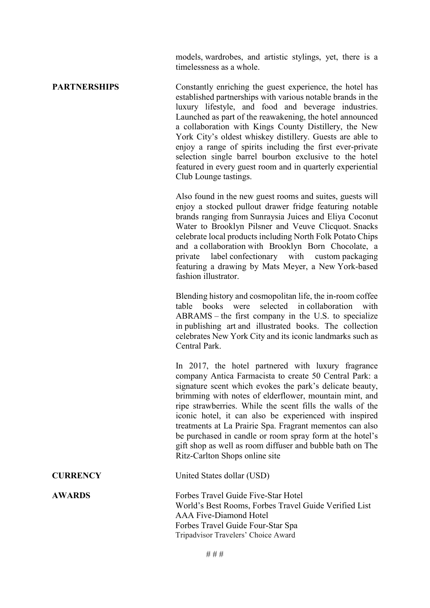models, wardrobes, and artistic stylings, yet, there is a timelessness as a whole.

**PARTNERSHIPS** Constantly enriching the guest experience, the hotel has established partnerships with various notable brands in the luxury lifestyle, and food and beverage industries. Launched as part of the reawakening, the hotel announced a collaboration with Kings County Distillery, the New York City's oldest whiskey distillery. Guests are able to enjoy a range of spirits including the first ever-private selection single barrel bourbon exclusive to the hotel featured in every guest room and in quarterly experiential Club Lounge tastings.

> Also found in the new guest rooms and suites, guests will enjoy a stocked pullout drawer fridge featuring notable brands ranging from Sunraysia Juices and Eliya Coconut Water to Brooklyn Pilsner and Veuve Clicquot. Snacks celebrate local products including North Folk Potato Chips and a collaboration with Brooklyn Born Chocolate, a private label confectionary with custom packaging featuring a drawing by Mats Meyer, a New York-based fashion illustrator.

> Blending history and cosmopolitan life, the in-room coffee table books were selected in collaboration with ABRAMS – the first company in the U.S. to specialize in publishing art and illustrated books. The collection celebrates New York City and its iconic landmarks such as Central Park.

> In 2017, the hotel partnered with luxury fragrance company Antica Farmacista to create 50 Central Park: a signature scent which evokes the park's delicate beauty, brimming with notes of elderflower, mountain mint, and ripe strawberries. While the scent fills the walls of the iconic hotel, it can also be experienced with inspired treatments at La Prairie Spa. Fragrant mementos can also be purchased in candle or room spray form at the hotel's gift shop as well as room diffuser and bubble bath on The Ritz-Carlton Shops online site

**CURRENCY** United States dollar (USD)

**AWARDS** Forbes Travel Guide Five-Star Hotel World's Best Rooms, Forbes Travel Guide Verified List AAA Five-Diamond Hotel Forbes Travel Guide Four-Star Spa Tripadvisor Travelers' Choice Award